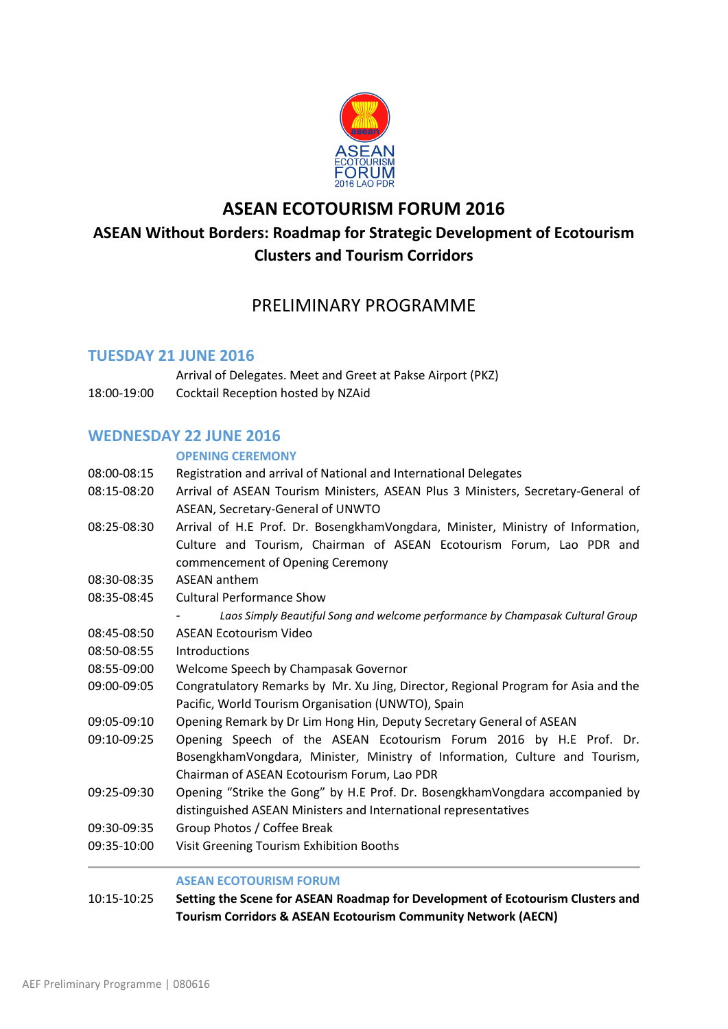

# **ASEAN ECOTOURISM FORUM 2016 ASEAN Without Borders: Roadmap for Strategic Development of Ecotourism Clusters and Tourism Corridors**

# PRELIMINARY PROGRAMME

## **TUESDAY 21 JUNE 2016**

Arrival of Delegates. Meet and Greet at Pakse Airport (PKZ) 18:00-19:00 Cocktail Reception hosted by NZAid

## **WEDNESDAY 22 JUNE 2016**

### **OPENING CEREMONY**

- 08:00-08:15 Registration and arrival of National and International Delegates
- 08:15-08:20 Arrival of ASEAN Tourism Ministers, ASEAN Plus 3 Ministers, Secretary-General of ASEAN, Secretary-General of UNWTO
- 08:25-08:30 Arrival of H.E Prof. Dr. BosengkhamVongdara, Minister, Ministry of Information, Culture and Tourism, Chairman of ASEAN Ecotourism Forum, Lao PDR and commencement of Opening Ceremony
- 08:30-08:35 ASEAN anthem
- 08:35-08:45 Cultural Performance Show
	- *Laos Simply Beautiful Song and welcome performance by Champasak Cultural Group*
- 08:45-08:50 ASEAN Ecotourism Video
- 08:50-08:55 Introductions
- 08:55-09:00 Welcome Speech by Champasak Governor
- 09:00-09:05 Congratulatory Remarks by Mr. Xu Jing, Director, Regional Program for Asia and the Pacific, World Tourism Organisation (UNWTO), Spain
- 09:05-09:10 Opening Remark by Dr Lim Hong Hin, Deputy Secretary General of ASEAN
- 09:10-09:25 Opening Speech of the ASEAN Ecotourism Forum 2016 by H.E Prof. Dr. BosengkhamVongdara, Minister, Ministry of Information, Culture and Tourism, Chairman of ASEAN Ecotourism Forum, Lao PDR
- 09:25-09:30 Opening "Strike the Gong" by H.E Prof. Dr. BosengkhamVongdara accompanied by distinguished ASEAN Ministers and International representatives
- 09:30-09:35 Group Photos / Coffee Break
- 09:35-10:00 Visit Greening Tourism Exhibition Booths

### **ASEAN ECOTOURISM FORUM**

10:15-10:25 **Setting the Scene for ASEAN Roadmap for Development of Ecotourism Clusters and Tourism Corridors & ASEAN Ecotourism Community Network (AECN)**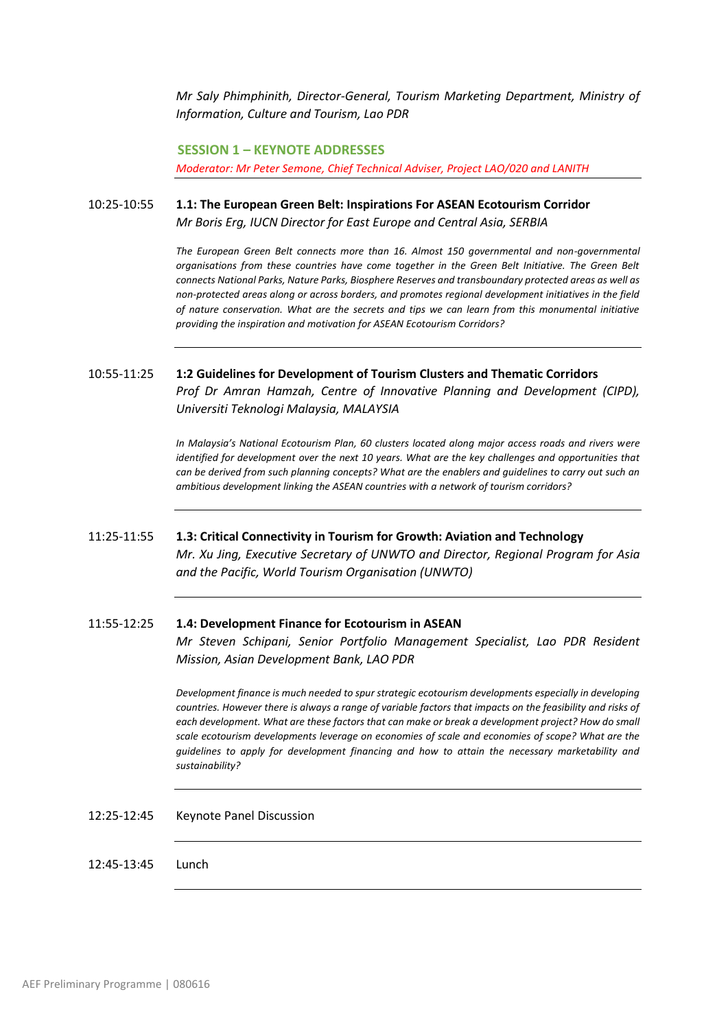*Mr Saly Phimphinith, Director-General, Tourism Marketing Department, Ministry of Information, Culture and Tourism, Lao PDR*

 **SESSION 1 – KEYNOTE ADDRESSES** *Moderator: Mr Peter Semone, Chief Technical Adviser, Project LAO/020 and LANITH*

10:25-10:55 **1.1: The European Green Belt: Inspirations For ASEAN Ecotourism Corridor** *Mr Boris Erg, IUCN Director for East Europe and Central Asia, SERBIA*

> *The European Green Belt connects more than 16. Almost 150 governmental and non-governmental organisations from these countries have come together in the Green Belt Initiative. The Green Belt connects National Parks, Nature Parks, Biosphere Reserves and transboundary protected areas as well as non-protected areas along or across borders, and promotes regional development initiatives in the field of nature conservation. What are the secrets and tips we can learn from this monumental initiative providing the inspiration and motivation for ASEAN Ecotourism Corridors?*

## 10:55-11:25 **1:2 Guidelines for Development of Tourism Clusters and Thematic Corridors** *Prof Dr Amran Hamzah, Centre of Innovative Planning and Development (CIPD), Universiti Teknologi Malaysia, MALAYSIA*

*In Malaysia's National Ecotourism Plan, 60 clusters located along major access roads and rivers were identified for development over the next 10 years. What are the key challenges and opportunities that can be derived from such planning concepts? What are the enablers and guidelines to carry out such an ambitious development linking the ASEAN countries with a network of tourism corridors?*

### 11:25-11:55 **1.3: Critical Connectivity in Tourism for Growth: Aviation and Technology** *Mr. Xu Jing, Executive Secretary of UNWTO and Director, Regional Program for Asia*

*and the Pacific, World Tourism Organisation (UNWTO)*

## 11:55-12:25 **1.4: Development Finance for Ecotourism in ASEAN**

*Mr Steven Schipani, Senior Portfolio Management Specialist, Lao PDR Resident Mission, Asian Development Bank, LAO PDR*

*Development finance is much needed to spur strategic ecotourism developments especially in developing countries. However there is always a range of variable factors that impacts on the feasibility and risks of each development. What are these factors that can make or break a development project? How do small scale ecotourism developments leverage on economies of scale and economies of scope? What are the guidelines to apply for development financing and how to attain the necessary marketability and sustainability?*

12:25-12:45 Keynote Panel Discussion

12:45-13:45 Lunch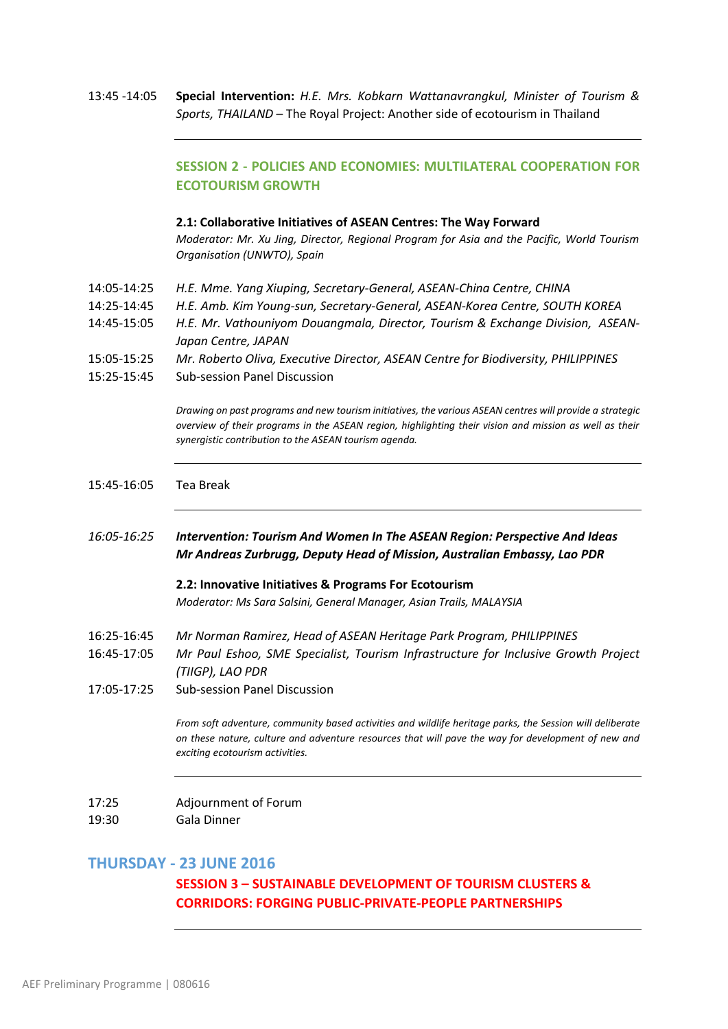13:45 -14:05 **Special Intervention:** *H.E. Mrs. Kobkarn Wattanavrangkul, Minister of Tourism & Sports, THAILAND* – The Royal Project: Another side of ecotourism in Thailand

## **SESSION 2 - POLICIES AND ECONOMIES: MULTILATERAL COOPERATION FOR ECOTOURISM GROWTH**

#### **2.1: Collaborative Initiatives of ASEAN Centres: The Way Forward**

*Moderator: Mr. Xu Jing, Director, Regional Program for Asia and the Pacific, World Tourism Organisation (UNWTO), Spain*

- 14:05-14:25 *H.E. Mme. Yang Xiuping, Secretary-General, ASEAN-China Centre, CHINA*
- 14:25-14:45 *H.E. Amb. Kim Young-sun, Secretary-General, ASEAN-Korea Centre, SOUTH KOREA*
- 14:45-15:05 *H.E. Mr. Vathouniyom Douangmala, Director, Tourism & Exchange Division, ASEAN-Japan Centre, JAPAN*
- 15:05-15:25 *Mr. Roberto Oliva, Executive Director, ASEAN Centre for Biodiversity, PHILIPPINES*
- 15:25-15:45 Sub-session Panel Discussion

*Drawing on past programs and new tourism initiatives, the various ASEAN centres will provide a strategic overview of their programs in the ASEAN region, highlighting their vision and mission as well as their synergistic contribution to the ASEAN tourism agenda.*

#### 15:45-16:05Tea Break

*16:05-16:25 Intervention: Tourism And Women In The ASEAN Region: Perspective And Ideas Mr Andreas Zurbrugg, Deputy Head of Mission, Australian Embassy, Lao PDR*

> **2.2: Innovative Initiatives & Programs For Ecotourism** *Moderator: Ms Sara Salsini, General Manager, Asian Trails, MALAYSIA*

- 16:25-16:45 *Mr Norman Ramirez, Head of ASEAN Heritage Park Program, PHILIPPINES*
- 16:45-17:05 *Mr Paul Eshoo, SME Specialist, Tourism Infrastructure for Inclusive Growth Project (TIIGP), LAO PDR*
- 17:05-17:25 Sub-session Panel Discussion

*From soft adventure, community based activities and wildlife heritage parks, the Session will deliberate on these nature, culture and adventure resources that will pave the way for development of new and exciting ecotourism activities.*

- 17:25 Adjournment of Forum
- 19:30Gala Dinner

### **THURSDAY - 23 JUNE 2016**

### **SESSION 3 – SUSTAINABLE DEVELOPMENT OF TOURISM CLUSTERS & CORRIDORS: FORGING PUBLIC-PRIVATE-PEOPLE PARTNERSHIPS**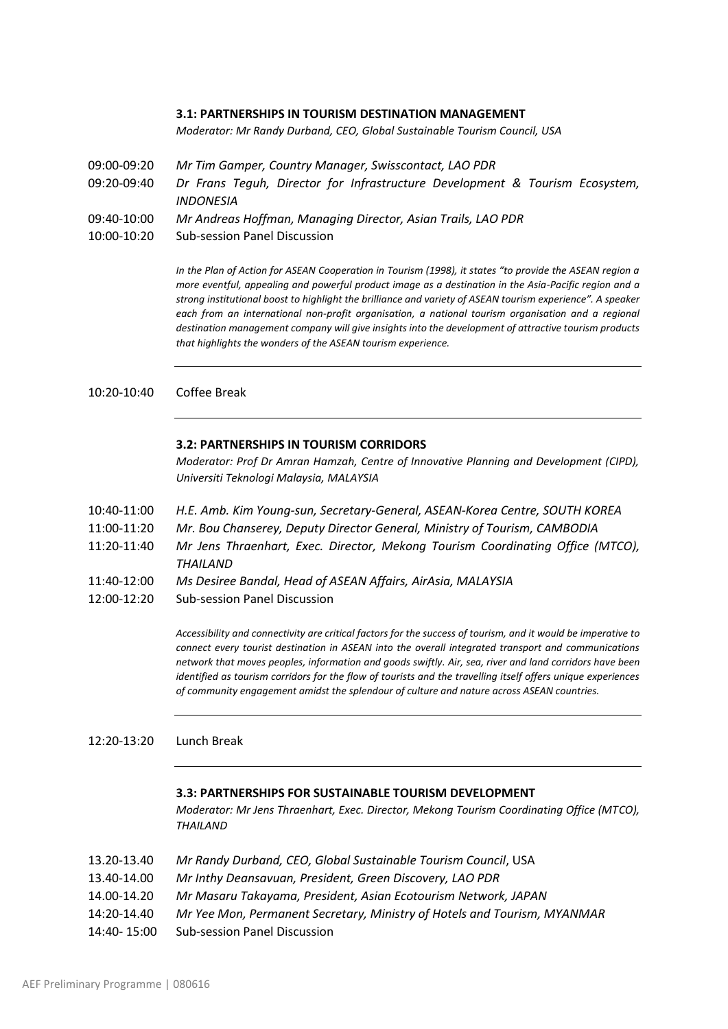#### **3.1: PARTNERSHIPS IN TOURISM DESTINATION MANAGEMENT**

*Moderator: Mr Randy Durband, CEO, Global Sustainable Tourism Council, USA*

- 09:00-09:20 *Mr Tim Gamper, Country Manager, Swisscontact, LAO PDR*
- 09:20-09:40 *Dr Frans Teguh, Director for Infrastructure Development & Tourism Ecosystem, INDONESIA*
- 09:40-10:00 *Mr Andreas Hoffman, Managing Director, Asian Trails, LAO PDR*
- 10:00-10:20 Sub-session Panel Discussion

*In the Plan of Action for ASEAN Cooperation in Tourism (1998), it states "to provide the ASEAN region a more eventful, appealing and powerful product image as a destination in the Asia-Pacific region and a strong institutional boost to highlight the brilliance and variety of ASEAN tourism experience". A speaker each from an international non-profit organisation, a national tourism organisation and a regional destination management company will give insights into the development of attractive tourism products that highlights the wonders of the ASEAN tourism experience.*

10:20-10:40 Coffee Break

#### **3.2: PARTNERSHIPS IN TOURISM CORRIDORS**

*Moderator: Prof Dr Amran Hamzah, Centre of Innovative Planning and Development (CIPD), Universiti Teknologi Malaysia, MALAYSIA*

- 10:40-11:00 *H.E. Amb. Kim Young-sun, Secretary-General, ASEAN-Korea Centre, SOUTH KOREA*
- 11:00-11:20 *Mr. Bou Chanserey, Deputy Director General, Ministry of Tourism, CAMBODIA*
- 11:20-11:40 *Mr Jens Thraenhart, Exec. Director, Mekong Tourism Coordinating Office (MTCO), THAILAND*
- 11:40-12:00*Ms Desiree Bandal, Head of ASEAN Affairs, AirAsia, MALAYSIA*
- 12:00-12:20 Sub-session Panel Discussion

*Accessibility and connectivity are critical factors for the success of tourism, and it would be imperative to connect every tourist destination in ASEAN into the overall integrated transport and communications network that moves peoples, information and goods swiftly. Air, sea, river and land corridors have been identified as tourism corridors for the flow of tourists and the travelling itself offers unique experiences of community engagement amidst the splendour of culture and nature across ASEAN countries.*

12:20-13:20 Lunch Break

#### **3.3: PARTNERSHIPS FOR SUSTAINABLE TOURISM DEVELOPMENT**

*Moderator: Mr Jens Thraenhart, Exec. Director, Mekong Tourism Coordinating Office (MTCO), THAILAND*

- 13.20-13.40 *Mr Randy Durband, CEO, Global Sustainable Tourism Council*, USA
- 13.40-14.00 *Mr Inthy Deansavuan, President, Green Discovery, LAO PDR*
- 14.00-14.20 *Mr Masaru Takayama, President, Asian Ecotourism Network, JAPAN*
- 14:20-14.40*Mr Yee Mon, Permanent Secretary, Ministry of Hotels and Tourism, MYANMAR*
- 14:40- 15:00 Sub-session Panel Discussion